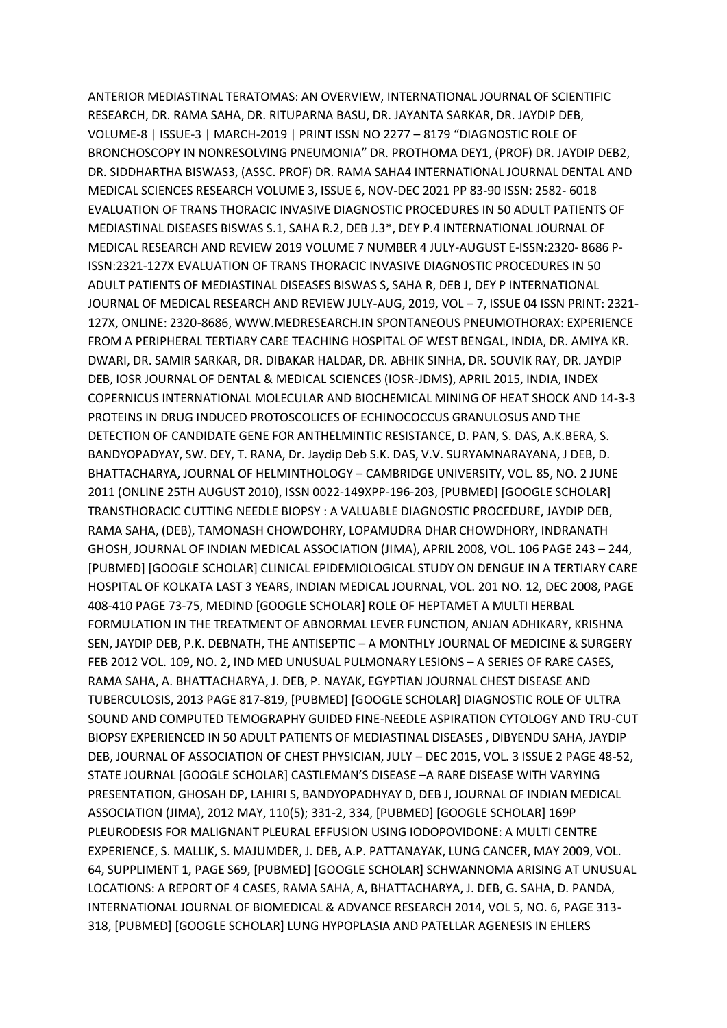ANTERIOR MEDIASTINAL TERATOMAS: AN OVERVIEW, INTERNATIONAL JOURNAL OF SCIENTIFIC RESEARCH, DR. RAMA SAHA, DR. RITUPARNA BASU, DR. JAYANTA SARKAR, DR. JAYDIP DEB, VOLUME-8 | ISSUE-3 | MARCH-2019 | PRINT ISSN NO 2277 – 8179 "DIAGNOSTIC ROLE OF BRONCHOSCOPY IN NONRESOLVING PNEUMONIA" DR. PROTHOMA DEY1, (PROF) DR. JAYDIP DEB2, DR. SIDDHARTHA BISWAS3, (ASSC. PROF) DR. RAMA SAHA4 INTERNATIONAL JOURNAL DENTAL AND MEDICAL SCIENCES RESEARCH VOLUME 3, ISSUE 6, NOV-DEC 2021 PP 83-90 ISSN: 2582- 6018 EVALUATION OF TRANS THORACIC INVASIVE DIAGNOSTIC PROCEDURES IN 50 ADULT PATIENTS OF MEDIASTINAL DISEASES BISWAS S.1, SAHA R.2, DEB J.3\*, DEY P.4 INTERNATIONAL JOURNAL OF MEDICAL RESEARCH AND REVIEW 2019 VOLUME 7 NUMBER 4 JULY-AUGUST E-ISSN:2320- 8686 P-ISSN:2321-127X EVALUATION OF TRANS THORACIC INVASIVE DIAGNOSTIC PROCEDURES IN 50 ADULT PATIENTS OF MEDIASTINAL DISEASES BISWAS S, SAHA R, DEB J, DEY P INTERNATIONAL JOURNAL OF MEDICAL RESEARCH AND REVIEW JULY-AUG, 2019, VOL – 7, ISSUE 04 ISSN PRINT: 2321- 127X, ONLINE: 2320-8686, WWW.MEDRESEARCH.IN SPONTANEOUS PNEUMOTHORAX: EXPERIENCE FROM A PERIPHERAL TERTIARY CARE TEACHING HOSPITAL OF WEST BENGAL, INDIA, DR. AMIYA KR. DWARI, DR. SAMIR SARKAR, DR. DIBAKAR HALDAR, DR. ABHIK SINHA, DR. SOUVIK RAY, DR. JAYDIP DEB, IOSR JOURNAL OF DENTAL & MEDICAL SCIENCES (IOSR-JDMS), APRIL 2015, INDIA, INDEX COPERNICUS INTERNATIONAL MOLECULAR AND BIOCHEMICAL MINING OF HEAT SHOCK AND 14-3-3 PROTEINS IN DRUG INDUCED PROTOSCOLICES OF ECHINOCOCCUS GRANULOSUS AND THE DETECTION OF CANDIDATE GENE FOR ANTHELMINTIC RESISTANCE, D. PAN, S. DAS, A.K.BERA, S. BANDYOPADYAY, SW. DEY, T. RANA, Dr. Jaydip Deb S.K. DAS, V.V. SURYAMNARAYANA, J DEB, D. BHATTACHARYA, JOURNAL OF HELMINTHOLOGY – CAMBRIDGE UNIVERSITY, VOL. 85, NO. 2 JUNE 2011 (ONLINE 25TH AUGUST 2010), ISSN 0022-149XPP-196-203, [PUBMED] [GOOGLE SCHOLAR] TRANSTHORACIC CUTTING NEEDLE BIOPSY : A VALUABLE DIAGNOSTIC PROCEDURE, JAYDIP DEB, RAMA SAHA, (DEB), TAMONASH CHOWDOHRY, LOPAMUDRA DHAR CHOWDHORY, INDRANATH GHOSH, JOURNAL OF INDIAN MEDICAL ASSOCIATION (JIMA), APRIL 2008, VOL. 106 PAGE 243 – 244, [PUBMED] [GOOGLE SCHOLAR] CLINICAL EPIDEMIOLOGICAL STUDY ON DENGUE IN A TERTIARY CARE HOSPITAL OF KOLKATA LAST 3 YEARS, INDIAN MEDICAL JOURNAL, VOL. 201 NO. 12, DEC 2008, PAGE 408-410 PAGE 73-75, MEDIND [GOOGLE SCHOLAR] ROLE OF HEPTAMET A MULTI HERBAL FORMULATION IN THE TREATMENT OF ABNORMAL LEVER FUNCTION, ANJAN ADHIKARY, KRISHNA SEN, JAYDIP DEB, P.K. DEBNATH, THE ANTISEPTIC – A MONTHLY JOURNAL OF MEDICINE & SURGERY FEB 2012 VOL. 109, NO. 2, IND MED UNUSUAL PULMONARY LESIONS – A SERIES OF RARE CASES, RAMA SAHA, A. BHATTACHARYA, J. DEB, P. NAYAK, EGYPTIAN JOURNAL CHEST DISEASE AND TUBERCULOSIS, 2013 PAGE 817-819, [PUBMED] [GOOGLE SCHOLAR] DIAGNOSTIC ROLE OF ULTRA SOUND AND COMPUTED TEMOGRAPHY GUIDED FINE-NEEDLE ASPIRATION CYTOLOGY AND TRU-CUT BIOPSY EXPERIENCED IN 50 ADULT PATIENTS OF MEDIASTINAL DISEASES , DIBYENDU SAHA, JAYDIP DEB, JOURNAL OF ASSOCIATION OF CHEST PHYSICIAN, JULY – DEC 2015, VOL. 3 ISSUE 2 PAGE 48-52, STATE JOURNAL [GOOGLE SCHOLAR] CASTLEMAN'S DISEASE –A RARE DISEASE WITH VARYING PRESENTATION, GHOSAH DP, LAHIRI S, BANDYOPADHYAY D, DEB J, JOURNAL OF INDIAN MEDICAL ASSOCIATION (JIMA), 2012 MAY, 110(5); 331-2, 334, [PUBMED] [GOOGLE SCHOLAR] 169P PLEURODESIS FOR MALIGNANT PLEURAL EFFUSION USING IODOPOVIDONE: A MULTI CENTRE EXPERIENCE, S. MALLIK, S. MAJUMDER, J. DEB, A.P. PATTANAYAK, LUNG CANCER, MAY 2009, VOL. 64, SUPPLIMENT 1, PAGE S69, [PUBMED] [GOOGLE SCHOLAR] SCHWANNOMA ARISING AT UNUSUAL LOCATIONS: A REPORT OF 4 CASES, RAMA SAHA, A, BHATTACHARYA, J. DEB, G. SAHA, D. PANDA, INTERNATIONAL JOURNAL OF BIOMEDICAL & ADVANCE RESEARCH 2014, VOL 5, NO. 6, PAGE 313- 318, [PUBMED] [GOOGLE SCHOLAR] LUNG HYPOPLASIA AND PATELLAR AGENESIS IN EHLERS